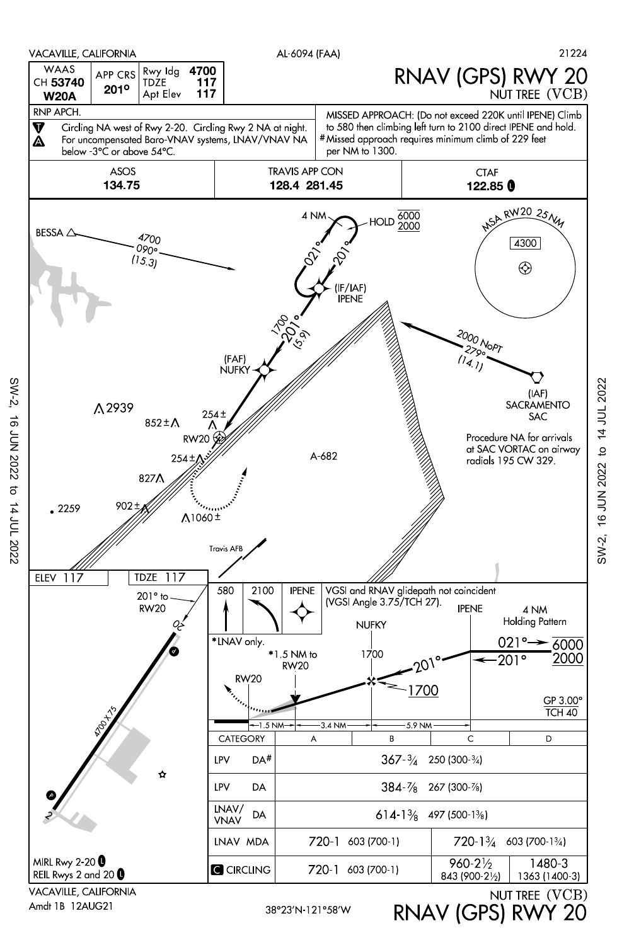

Amdt 1B 12AUG21

SW-2, 16 JUN 2022 to 14 JUL 2022

 $\sigma$ 

14 JUL 2022

**16 JUN 2022** 

 $SW-2$ 

RNAV (GPS) RWY 20